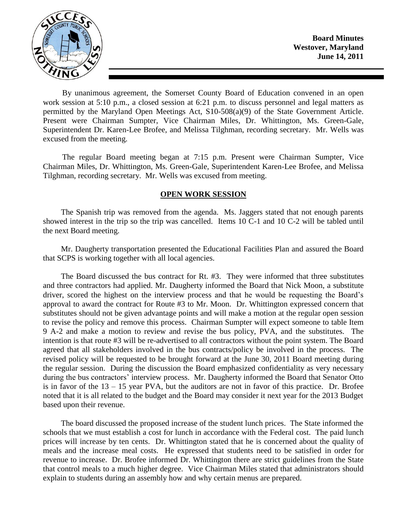

By unanimous agreement, the Somerset County Board of Education convened in an open work session at 5:10 p.m., a closed session at 6:21 p.m. to discuss personnel and legal matters as permitted by the Maryland Open Meetings Act, S10-508(a)(9) of the State Government Article. Present were Chairman Sumpter, Vice Chairman Miles, Dr. Whittington, Ms. Green-Gale, Superintendent Dr. Karen-Lee Brofee, and Melissa Tilghman, recording secretary. Mr. Wells was excused from the meeting.

The regular Board meeting began at 7:15 p.m. Present were Chairman Sumpter, Vice Chairman Miles, Dr. Whittington, Ms. Green-Gale, Superintendent Karen-Lee Brofee, and Melissa Tilghman, recording secretary. Mr. Wells was excused from meeting.

### **OPEN WORK SESSION**

The Spanish trip was removed from the agenda. Ms. Jaggers stated that not enough parents showed interest in the trip so the trip was cancelled. Items 10 C-1 and 10 C-2 will be tabled until the next Board meeting.

Mr. Daugherty transportation presented the Educational Facilities Plan and assured the Board that SCPS is working together with all local agencies.

The Board discussed the bus contract for Rt. #3. They were informed that three substitutes and three contractors had applied. Mr. Daugherty informed the Board that Nick Moon, a substitute driver, scored the highest on the interview process and that he would be requesting the Board's approval to award the contract for Route #3 to Mr. Moon. Dr. Whittington expressed concern that substitutes should not be given advantage points and will make a motion at the regular open session to revise the policy and remove this process. Chairman Sumpter will expect someone to table Item 9 A-2 and make a motion to review and revise the bus policy, PVA, and the substitutes. The intention is that route #3 will be re-advertised to all contractors without the point system. The Board agreed that all stakeholders involved in the bus contracts/policy be involved in the process. The revised policy will be requested to be brought forward at the June 30, 2011 Board meeting during the regular session. During the discussion the Board emphasized confidentiality as very necessary during the bus contractors' interview process. Mr. Daugherty informed the Board that Senator Otto is in favor of the 13 – 15 year PVA, but the auditors are not in favor of this practice. Dr. Brofee noted that it is all related to the budget and the Board may consider it next year for the 2013 Budget based upon their revenue.

The board discussed the proposed increase of the student lunch prices. The State informed the schools that we must establish a cost for lunch in accordance with the Federal cost. The paid lunch prices will increase by ten cents. Dr. Whittington stated that he is concerned about the quality of meals and the increase meal costs. He expressed that students need to be satisfied in order for revenue to increase. Dr. Brofee informed Dr. Whittington there are strict guidelines from the State that control meals to a much higher degree. Vice Chairman Miles stated that administrators should explain to students during an assembly how and why certain menus are prepared.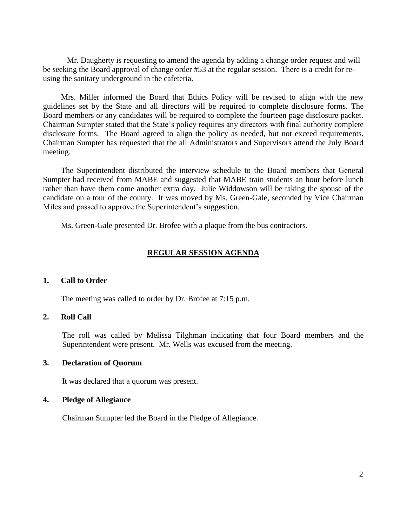Mr. Daugherty is requesting to amend the agenda by adding a change order request and will be seeking the Board approval of change order #53 at the regular session. There is a credit for reusing the sanitary underground in the cafeteria.

Mrs. Miller informed the Board that Ethics Policy will be revised to align with the new guidelines set by the State and all directors will be required to complete disclosure forms. The Board members or any candidates will be required to complete the fourteen page disclosure packet. Chairman Sumpter stated that the State's policy requires any directors with final authority complete disclosure forms. The Board agreed to align the policy as needed, but not exceed requirements. Chairman Sumpter has requested that the all Administrators and Supervisors attend the July Board meeting.

The Superintendent distributed the interview schedule to the Board members that General Sumpter had received from MABE and suggested that MABE train students an hour before lunch rather than have them come another extra day. Julie Widdowson will be taking the spouse of the candidate on a tour of the county. It was moved by Ms. Green-Gale, seconded by Vice Chairman Miles and passed to approve the Superintendent's suggestion.

Ms. Green-Gale presented Dr. Brofee with a plaque from the bus contractors.

#### **REGULAR SESSION AGENDA**

#### **1. Call to Order**

The meeting was called to order by Dr. Brofee at 7:15 p.m.

#### **2. Roll Call**

The roll was called by Melissa Tilghman indicating that four Board members and the Superintendent were present. Mr. Wells was excused from the meeting.

#### **3. Declaration of Quorum**

It was declared that a quorum was present.

#### **4. Pledge of Allegiance**

Chairman Sumpter led the Board in the Pledge of Allegiance.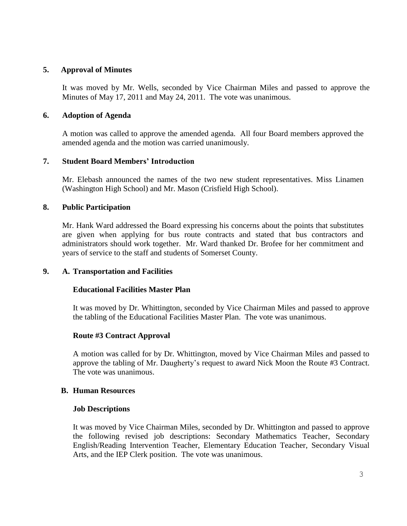## **5. Approval of Minutes**

It was moved by Mr. Wells, seconded by Vice Chairman Miles and passed to approve the Minutes of May 17, 2011 and May 24, 2011. The vote was unanimous.

## **6. Adoption of Agenda**

A motion was called to approve the amended agenda. All four Board members approved the amended agenda and the motion was carried unanimously.

# **7. Student Board Members' Introduction**

Mr. Elebash announced the names of the two new student representatives. Miss Linamen (Washington High School) and Mr. Mason (Crisfield High School).

# **8. Public Participation**

Mr. Hank Ward addressed the Board expressing his concerns about the points that substitutes are given when applying for bus route contracts and stated that bus contractors and administrators should work together. Mr. Ward thanked Dr. Brofee for her commitment and years of service to the staff and students of Somerset County.

### **9. A. Transportation and Facilities**

### **Educational Facilities Master Plan**

It was moved by Dr. Whittington, seconded by Vice Chairman Miles and passed to approve the tabling of the Educational Facilities Master Plan. The vote was unanimous.

### **Route #3 Contract Approval**

A motion was called for by Dr. Whittington, moved by Vice Chairman Miles and passed to approve the tabling of Mr. Daugherty's request to award Nick Moon the Route #3 Contract. The vote was unanimous.

### **B. Human Resources**

### **Job Descriptions**

It was moved by Vice Chairman Miles, seconded by Dr. Whittington and passed to approve the following revised job descriptions: Secondary Mathematics Teacher, Secondary English/Reading Intervention Teacher, Elementary Education Teacher, Secondary Visual Arts, and the IEP Clerk position. The vote was unanimous.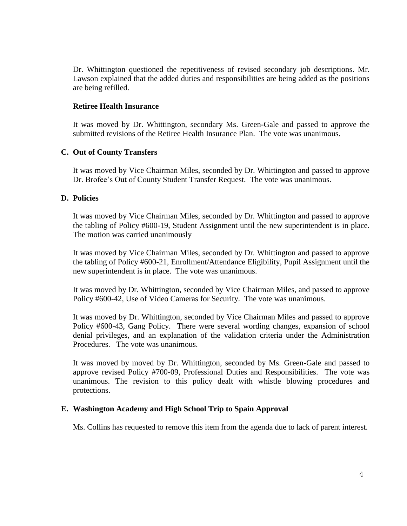Dr. Whittington questioned the repetitiveness of revised secondary job descriptions. Mr. Lawson explained that the added duties and responsibilities are being added as the positions are being refilled.

#### **Retiree Health Insurance**

It was moved by Dr. Whittington, secondary Ms. Green-Gale and passed to approve the submitted revisions of the Retiree Health Insurance Plan. The vote was unanimous.

#### **C. Out of County Transfers**

It was moved by Vice Chairman Miles, seconded by Dr. Whittington and passed to approve Dr. Brofee's Out of County Student Transfer Request. The vote was unanimous.

#### **D. Policies**

It was moved by Vice Chairman Miles, seconded by Dr. Whittington and passed to approve the tabling of Policy #600-19, Student Assignment until the new superintendent is in place. The motion was carried unanimously

It was moved by Vice Chairman Miles, seconded by Dr. Whittington and passed to approve the tabling of Policy #600-21, Enrollment/Attendance Eligibility, Pupil Assignment until the new superintendent is in place. The vote was unanimous.

It was moved by Dr. Whittington, seconded by Vice Chairman Miles, and passed to approve Policy #600-42, Use of Video Cameras for Security. The vote was unanimous.

It was moved by Dr. Whittington, seconded by Vice Chairman Miles and passed to approve Policy #600-43, Gang Policy. There were several wording changes, expansion of school denial privileges, and an explanation of the validation criteria under the Administration Procedures. The vote was unanimous.

It was moved by moved by Dr. Whittington, seconded by Ms. Green-Gale and passed to approve revised Policy #700-09, Professional Duties and Responsibilities. The vote was unanimous. The revision to this policy dealt with whistle blowing procedures and protections.

### **E. Washington Academy and High School Trip to Spain Approval**

Ms. Collins has requested to remove this item from the agenda due to lack of parent interest.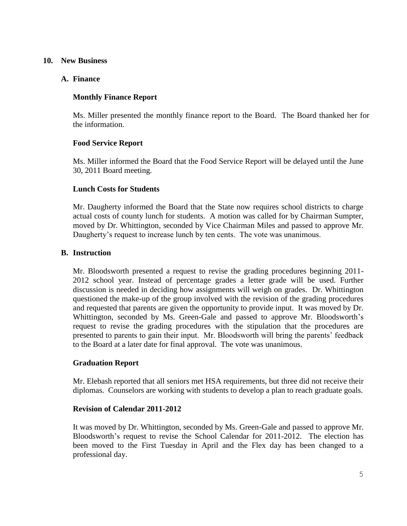### **10. New Business**

### **A. Finance**

# **Monthly Finance Report**

Ms. Miller presented the monthly finance report to the Board. The Board thanked her for the information.

# **Food Service Report**

Ms. Miller informed the Board that the Food Service Report will be delayed until the June 30, 2011 Board meeting.

### **Lunch Costs for Students**

Mr. Daugherty informed the Board that the State now requires school districts to charge actual costs of county lunch for students. A motion was called for by Chairman Sumpter, moved by Dr. Whittington, seconded by Vice Chairman Miles and passed to approve Mr. Daugherty's request to increase lunch by ten cents. The vote was unanimous.

### **B. Instruction**

Mr. Bloodsworth presented a request to revise the grading procedures beginning 2011- 2012 school year. Instead of percentage grades a letter grade will be used. Further discussion is needed in deciding how assignments will weigh on grades. Dr. Whittington questioned the make-up of the group involved with the revision of the grading procedures and requested that parents are given the opportunity to provide input. It was moved by Dr. Whittington, seconded by Ms. Green-Gale and passed to approve Mr. Bloodsworth's request to revise the grading procedures with the stipulation that the procedures are presented to parents to gain their input. Mr. Bloodsworth will bring the parents' feedback to the Board at a later date for final approval. The vote was unanimous.

### **Graduation Report**

Mr. Elebash reported that all seniors met HSA requirements, but three did not receive their diplomas. Counselors are working with students to develop a plan to reach graduate goals.

### **Revision of Calendar 2011-2012**

It was moved by Dr. Whittington, seconded by Ms. Green-Gale and passed to approve Mr. Bloodsworth's request to revise the School Calendar for 2011-2012. The election has been moved to the First Tuesday in April and the Flex day has been changed to a professional day.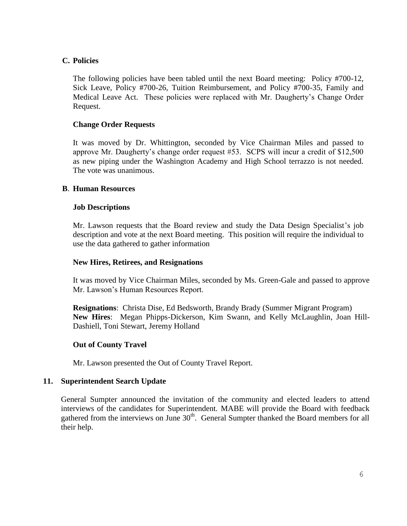# **C. Policies**

The following policies have been tabled until the next Board meeting: Policy #700-12, Sick Leave, Policy #700-26, Tuition Reimbursement, and Policy #700-35, Family and Medical Leave Act. These policies were replaced with Mr. Daugherty's Change Order Request.

# **Change Order Requests**

It was moved by Dr. Whittington, seconded by Vice Chairman Miles and passed to approve Mr. Daugherty's change order request #53. SCPS will incur a credit of \$12,500 as new piping under the Washington Academy and High School terrazzo is not needed. The vote was unanimous.

### **B**. **Human Resources**

### **Job Descriptions**

Mr. Lawson requests that the Board review and study the Data Design Specialist's job description and vote at the next Board meeting. This position will require the individual to use the data gathered to gather information

### **New Hires, Retirees, and Resignations**

It was moved by Vice Chairman Miles, seconded by Ms. Green-Gale and passed to approve Mr. Lawson's Human Resources Report.

**Resignations**: Christa Dise, Ed Bedsworth, Brandy Brady (Summer Migrant Program) **New Hires**: Megan Phipps-Dickerson, Kim Swann, and Kelly McLaughlin, Joan Hill-Dashiell, Toni Stewart, Jeremy Holland

### **Out of County Travel**

Mr. Lawson presented the Out of County Travel Report.

### **11. Superintendent Search Update**

General Sumpter announced the invitation of the community and elected leaders to attend interviews of the candidates for Superintendent. MABE will provide the Board with feedback gathered from the interviews on June 30<sup>th</sup>. General Sumpter thanked the Board members for all their help.